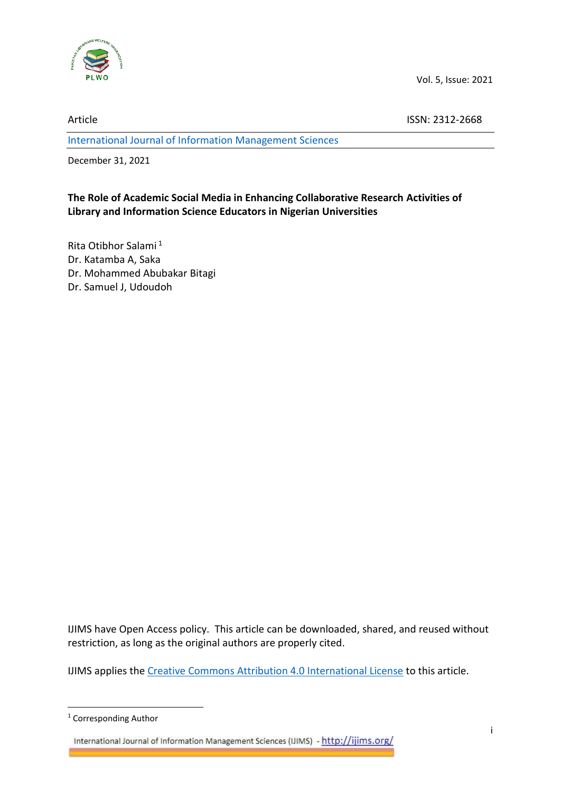

Vol. 5, Issue: 2021

Article ISSN: 2312-2668

[International Journal of Information Management Sciences](http://ijims.org/index.php/IJIMS)

December 31, 2021

# **The Role of Academic Social Media in Enhancing Collaborative Research Activities of Library and Information Science Educators in Nigerian Universities**

Rita Otibhor Salami <sup>1</sup> Dr. Katamba A, Saka Dr. Mohammed Abubakar Bitagi Dr. Samuel J, Udoudoh

IJIMS have Open Access policy. This article can be downloaded, shared, and reused without restriction, as long as the original authors are properly cited.

IJIMS applies th[e Creative Commons Attribution 4.0 International License](https://creativecommons.org/licenses/by/4.0/) to this article.

<sup>&</sup>lt;sup>1</sup> Corresponding Author

International Journal of Information Management Sciences (IJIMS) - http://ijims.org/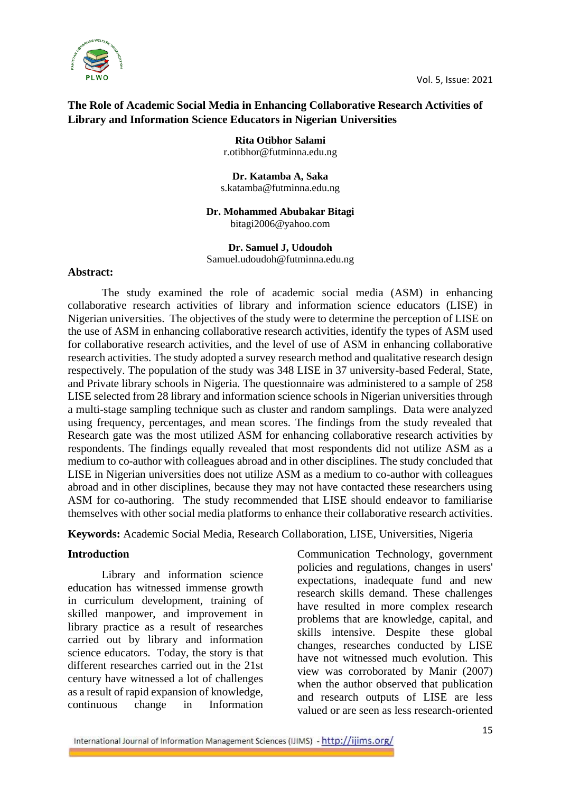

### **The Role of Academic Social Media in Enhancing Collaborative Research Activities of Library and Information Science Educators in Nigerian Universities**

**Rita Otibhor Salami** r.otibhor@futminna.edu.ng

**Dr. Katamba A, Saka**  s.katamba@futminna.edu.ng

# **Dr. Mohammed Abubakar Bitagi**

bitagi2006@yahoo.com

#### **Dr. Samuel J, Udoudoh**

Samuel.udoudoh@futminna.edu.ng

#### **Abstract:**

The study examined the role of academic social media (ASM) in enhancing collaborative research activities of library and information science educators (LISE) in Nigerian universities. The objectives of the study were to determine the perception of LISE on the use of ASM in enhancing collaborative research activities, identify the types of ASM used for collaborative research activities, and the level of use of ASM in enhancing collaborative research activities. The study adopted a survey research method and qualitative research design respectively. The population of the study was 348 LISE in 37 university-based Federal, State, and Private library schools in Nigeria. The questionnaire was administered to a sample of 258 LISE selected from 28 library and information science schools in Nigerian universities through a multi-stage sampling technique such as cluster and random samplings. Data were analyzed using frequency, percentages, and mean scores. The findings from the study revealed that Research gate was the most utilized ASM for enhancing collaborative research activities by respondents. The findings equally revealed that most respondents did not utilize ASM as a medium to co-author with colleagues abroad and in other disciplines. The study concluded that LISE in Nigerian universities does not utilize ASM as a medium to co-author with colleagues abroad and in other disciplines, because they may not have contacted these researchers using ASM for co-authoring. The study recommended that LISE should endeavor to familiarise themselves with other social media platforms to enhance their collaborative research activities.

**Keywords:** Academic Social Media, Research Collaboration, LISE, Universities, Nigeria

#### **Introduction**

Library and information science education has witnessed immense growth in curriculum development, training of skilled manpower, and improvement in library practice as a result of researches carried out by library and information science educators. Today, the story is that different researches carried out in the 21st century have witnessed a lot of challenges as a result of rapid expansion of knowledge, continuous change in Information

Communication Technology, government policies and regulations, changes in users' expectations, inadequate fund and new research skills demand. These challenges have resulted in more complex research problems that are knowledge, capital, and skills intensive. Despite these global changes, researches conducted by LISE have not witnessed much evolution. This view was corroborated by Manir (2007) when the author observed that publication and research outputs of LISE are less valued or are seen as less research-oriented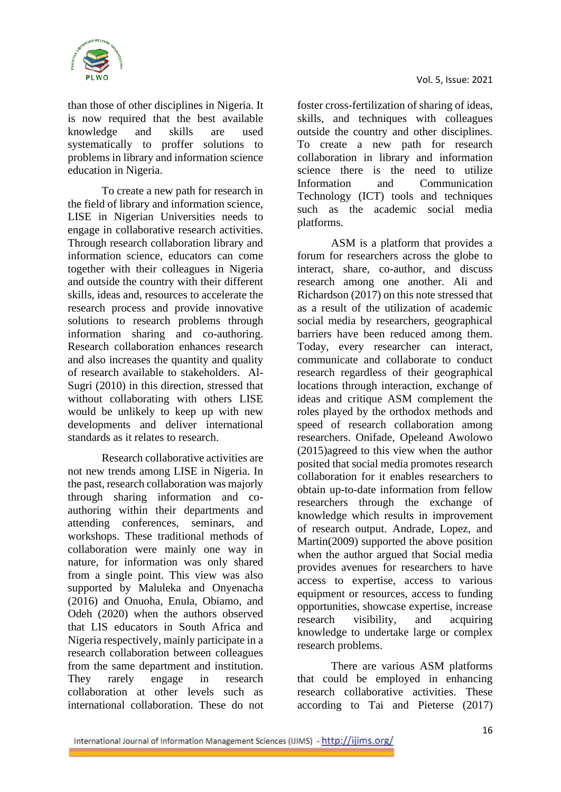

than those of other disciplines in Nigeria. It is now required that the best available knowledge and skills are used systematically to proffer solutions to problems in library and information science education in Nigeria.

To create a new path for research in the field of library and information science, LISE in Nigerian Universities needs to engage in collaborative research activities. Through research collaboration library and information science, educators can come together with their colleagues in Nigeria and outside the country with their different skills, ideas and, resources to accelerate the research process and provide innovative solutions to research problems through information sharing and co-authoring. Research collaboration enhances research and also increases the quantity and quality of research available to stakeholders. Al-Sugri (2010) in this direction, stressed that without collaborating with others LISE would be unlikely to keep up with new developments and deliver international standards as it relates to research.

Research collaborative activities are not new trends among LISE in Nigeria. In the past, research collaboration was majorly through sharing information and coauthoring within their departments and attending conferences, seminars, and workshops. These traditional methods of collaboration were mainly one way in nature, for information was only shared from a single point. This view was also supported by Maluleka and Onyenacha (2016) and Onuoha, Enula, Obiamo, and Odeh (2020) when the authors observed that LIS educators in South Africa and Nigeria respectively, mainly participate in a research collaboration between colleagues from the same department and institution. They rarely engage in research collaboration at other levels such as international collaboration. These do not

foster cross-fertilization of sharing of ideas, skills, and techniques with colleagues outside the country and other disciplines. To create a new path for research collaboration in library and information science there is the need to utilize Information and Communication Technology (ICT) tools and techniques such as the academic social media platforms.

ASM is a platform that provides a forum for researchers across the globe to interact, share, co-author, and discuss research among one another. Ali and Richardson (2017) on this note stressed that as a result of the utilization of academic social media by researchers, geographical barriers have been reduced among them. Today, every researcher can interact, communicate and collaborate to conduct research regardless of their geographical locations through interaction, exchange of ideas and critique ASM complement the roles played by the orthodox methods and speed of research collaboration among researchers. Onifade, Opeleand Awolowo (2015)agreed to this view when the author posited that social media promotes research collaboration for it enables researchers to obtain up-to-date information from fellow researchers through the exchange of knowledge which results in improvement of research output. Andrade, Lopez, and Martin(2009) supported the above position when the author argued that Social media provides avenues for researchers to have access to expertise, access to various equipment or resources, access to funding opportunities, showcase expertise, increase research visibility, and acquiring knowledge to undertake large or complex research problems.

There are various ASM platforms that could be employed in enhancing research collaborative activities. These according to Tai and Pieterse (2017)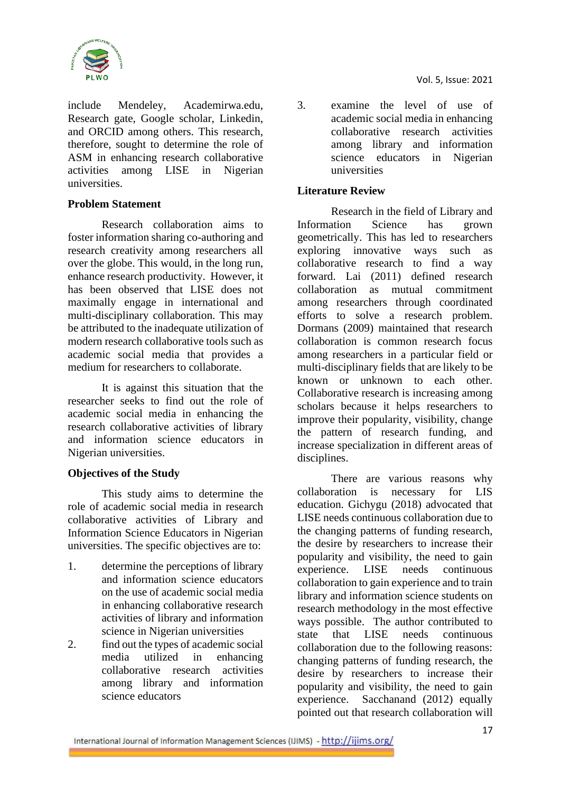

include Mendeley, Academirwa.edu, Research gate, Google scholar, Linkedin, and ORCID among others. This research, therefore, sought to determine the role of ASM in enhancing research collaborative activities among LISE in Nigerian universities.

### **Problem Statement**

Research collaboration aims to foster information sharing co-authoring and research creativity among researchers all over the globe. This would, in the long run, enhance research productivity. However, it has been observed that LISE does not maximally engage in international and multi-disciplinary collaboration. This may be attributed to the inadequate utilization of modern research collaborative tools such as academic social media that provides a medium for researchers to collaborate.

It is against this situation that the researcher seeks to find out the role of academic social media in enhancing the research collaborative activities of library and information science educators in Nigerian universities.

# **Objectives of the Study**

This study aims to determine the role of academic social media in research collaborative activities of Library and Information Science Educators in Nigerian universities. The specific objectives are to:

- 1. determine the perceptions of library and information science educators on the use of academic social media in enhancing collaborative research activities of library and information science in Nigerian universities
- 2. find out the types of academic social media utilized in enhancing collaborative research activities among library and information science educators

3. examine the level of use of academic social media in enhancing collaborative research activities among library and information science educators in Nigerian universities

### **Literature Review**

Research in the field of Library and Information Science has grown geometrically. This has led to researchers exploring innovative ways such as collaborative research to find a way forward. Lai (2011) defined research collaboration as mutual commitment among researchers through coordinated efforts to solve a research problem. Dormans (2009) maintained that research collaboration is common research focus among researchers in a particular field or multi-disciplinary fields that are likely to be known or unknown to each other. Collaborative research is increasing among scholars because it helps researchers to improve their popularity, visibility, change the pattern of research funding, and increase specialization in different areas of disciplines.

There are various reasons why collaboration is necessary for LIS education. Gichygu (2018) advocated that LISE needs continuous collaboration due to the changing patterns of funding research, the desire by researchers to increase their popularity and visibility, the need to gain experience. LISE needs continuous collaboration to gain experience and to train library and information science students on research methodology in the most effective ways possible. The author contributed to state that LISE needs continuous collaboration due to the following reasons: changing patterns of funding research, the desire by researchers to increase their popularity and visibility, the need to gain experience. Sacchanand (2012) equally pointed out that research collaboration will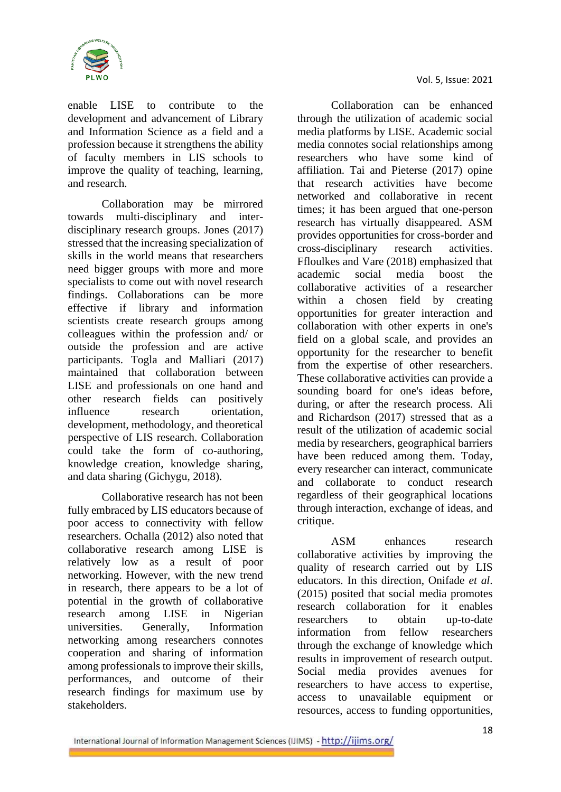

enable LISE to contribute to the development and advancement of Library and Information Science as a field and a profession because it strengthens the ability of faculty members in LIS schools to improve the quality of teaching, learning, and research.

Collaboration may be mirrored towards multi-disciplinary and interdisciplinary research groups. Jones (2017) stressed that the increasing specialization of skills in the world means that researchers need bigger groups with more and more specialists to come out with novel research findings. Collaborations can be more effective if library and information scientists create research groups among colleagues within the profession and/ or outside the profession and are active participants. Togla and Malliari (2017) maintained that collaboration between LISE and professionals on one hand and other research fields can positively influence research orientation, development, methodology, and theoretical perspective of LIS research. Collaboration could take the form of co-authoring, knowledge creation, knowledge sharing, and data sharing (Gichygu, 2018).

Collaborative research has not been fully embraced by LIS educators because of poor access to connectivity with fellow researchers. Ochalla (2012) also noted that collaborative research among LISE is relatively low as a result of poor networking. However, with the new trend in research, there appears to be a lot of potential in the growth of collaborative research among LISE in Nigerian universities. Generally, Information networking among researchers connotes cooperation and sharing of information among professionals to improve their skills, performances, and outcome of their research findings for maximum use by stakeholders.

Collaboration can be enhanced through the utilization of academic social media platforms by LISE. Academic social media connotes social relationships among researchers who have some kind of affiliation. Tai and Pieterse (2017) opine that research activities have become networked and collaborative in recent times; it has been argued that one-person research has virtually disappeared. ASM provides opportunities for cross-border and cross-disciplinary research activities. Ffloulkes and Vare (2018) emphasized that academic social media boost the collaborative activities of a researcher within a chosen field by creating opportunities for greater interaction and collaboration with other experts in one's field on a global scale, and provides an opportunity for the researcher to benefit from the expertise of other researchers. These collaborative activities can provide a sounding board for one's ideas before, during, or after the research process. Ali and Richardson (2017) stressed that as a result of the utilization of academic social media by researchers, geographical barriers have been reduced among them. Today, every researcher can interact, communicate and collaborate to conduct research regardless of their geographical locations through interaction, exchange of ideas, and critique.

ASM enhances research collaborative activities by improving the quality of research carried out by LIS educators. In this direction, Onifade *et al*. (2015) posited that social media promotes research collaboration for it enables researchers to obtain up-to-date information from fellow researchers through the exchange of knowledge which results in improvement of research output. Social media provides avenues for researchers to have access to expertise, access to unavailable equipment or resources, access to funding opportunities,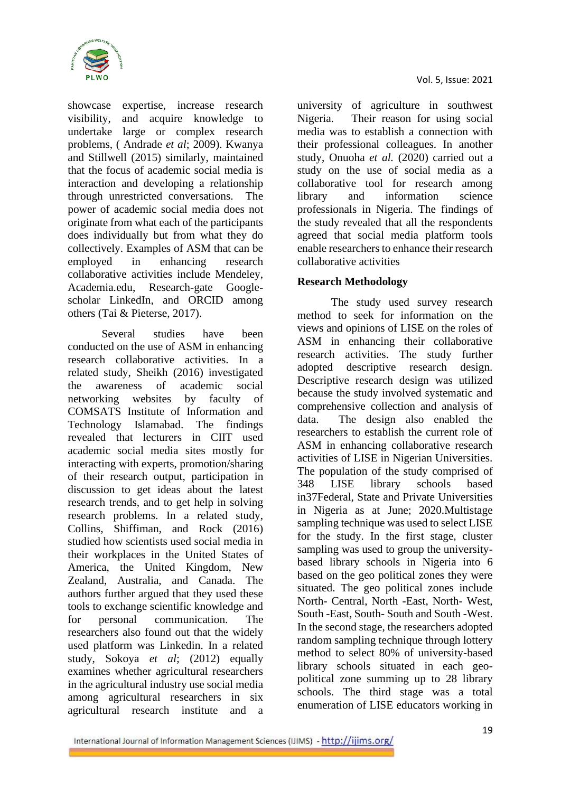

showcase expertise, increase research visibility, and acquire knowledge to undertake large or complex research problems, ( Andrade *et al*; 2009). Kwanya and Stillwell (2015) similarly, maintained that the focus of academic social media is interaction and developing a relationship through unrestricted conversations. The power of academic social media does not originate from what each of the participants does individually but from what they do collectively. Examples of ASM that can be employed in enhancing research collaborative activities include Mendeley, Academia.edu, Research-gate Googlescholar LinkedIn, and ORCID among others (Tai & Pieterse, 2017).

Several studies have been conducted on the use of ASM in enhancing research collaborative activities. In a related study, Sheikh (2016) investigated the awareness of academic social networking websites by faculty of COMSATS Institute of Information and Technology Islamabad. The findings revealed that lecturers in CIIT used academic social media sites mostly for interacting with experts, promotion/sharing of their research output, participation in discussion to get ideas about the latest research trends, and to get help in solving research problems. In a related study, Collins, Shiffiman, and Rock (2016) studied how scientists used social media in their workplaces in the United States of America, the United Kingdom, New Zealand, Australia, and Canada. The authors further argued that they used these tools to exchange scientific knowledge and for personal communication. The researchers also found out that the widely used platform was Linkedin. In a related study, Sokoya *et al*; (2012) equally examines whether agricultural researchers in the agricultural industry use social media among agricultural researchers in six agricultural research institute and a university of agriculture in southwest Nigeria. Their reason for using social media was to establish a connection with their professional colleagues. In another study, Onuoha *et al.* (2020) carried out a study on the use of social media as a collaborative tool for research among library and information science professionals in Nigeria. The findings of the study revealed that all the respondents agreed that social media platform tools enable researchers to enhance their research collaborative activities

# **Research Methodology**

The study used survey research method to seek for information on the views and opinions of LISE on the roles of ASM in enhancing their collaborative research activities. The study further adopted descriptive research design. Descriptive research design was utilized because the study involved systematic and comprehensive collection and analysis of data. The design also enabled the researchers to establish the current role of ASM in enhancing collaborative research activities of LISE in Nigerian Universities. The population of the study comprised of 348 LISE library schools based in37Federal, State and Private Universities in Nigeria as at June; 2020.Multistage sampling technique was used to select LISE for the study. In the first stage, cluster sampling was used to group the universitybased library schools in Nigeria into 6 based on the geo political zones they were situated. The geo political zones include North- Central, North -East, North- West, South -East, South- South and South -West. In the second stage, the researchers adopted random sampling technique through lottery method to select 80% of university-based library schools situated in each geopolitical zone summing up to 28 library schools. The third stage was a total enumeration of LISE educators working in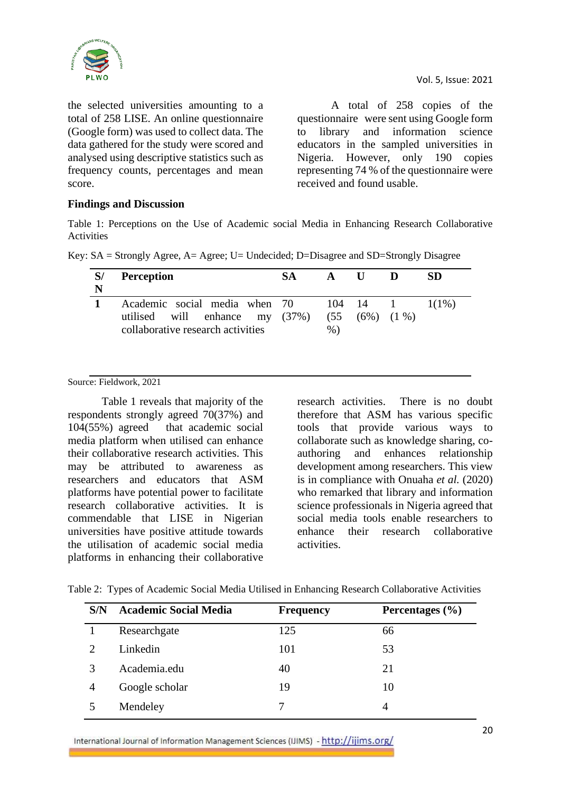

the selected universities amounting to a total of 258 LISE. An online questionnaire (Google form) was used to collect data. The data gathered for the study were scored and analysed using descriptive statistics such as frequency counts, percentages and mean score.

A total of 258 copies of the questionnaire were sent using Google form to library and information science educators in the sampled universities in Nigeria. However, only 190 copies representing 74 % of the questionnaire were received and found usable.

#### **Findings and Discussion**

Table 1: Perceptions on the Use of Academic social Media in Enhancing Research Collaborative **Activities** 

| N | <b>Perception</b>                                                                                           | <b>SA</b> | $\mathbf A$ | - 0 -         |            | SD |
|---|-------------------------------------------------------------------------------------------------------------|-----------|-------------|---------------|------------|----|
|   | Academic social media when 70 104 14<br>utilised will enhance my (37%)<br>collaborative research activities |           | $%$ )       | (55 (6%) (1%) | 1 $1(1\%)$ |    |

Key: SA = Strongly Agree, A= Agree; U= Undecided; D=Disagree and SD=Strongly Disagree

#### Source: Fieldwork, 2021

Table 1 reveals that majority of the respondents strongly agreed 70(37%) and 104(55%) agreed that academic social media platform when utilised can enhance their collaborative research activities. This may be attributed to awareness as researchers and educators that ASM platforms have potential power to facilitate research collaborative activities. It is commendable that LISE in Nigerian universities have positive attitude towards the utilisation of academic social media platforms in enhancing their collaborative

research activities. There is no doubt therefore that ASM has various specific tools that provide various ways to collaborate such as knowledge sharing, coauthoring and enhances relationship development among researchers. This view is in compliance with Onuaha *et al.* (2020) who remarked that library and information science professionals in Nigeria agreed that social media tools enable researchers to enhance their research collaborative activities.

| S/N                         | <b>Academic Social Media</b> | <b>Frequency</b> | Percentages $(\% )$ |
|-----------------------------|------------------------------|------------------|---------------------|
|                             | Researchgate                 | 125              | 66                  |
| $\mathcal{D}_{\mathcal{L}}$ | Linkedin                     | 101              | 53                  |
| 3                           | Academia.edu                 | 40               | 21                  |
| $\overline{4}$              | Google scholar               | 19               | 10                  |
|                             | Mendeley                     |                  | 4                   |

Table 2: Types of Academic Social Media Utilised in Enhancing Research Collaborative Activities

International Journal of Information Management Sciences (IJIMS) - http://ijims.org/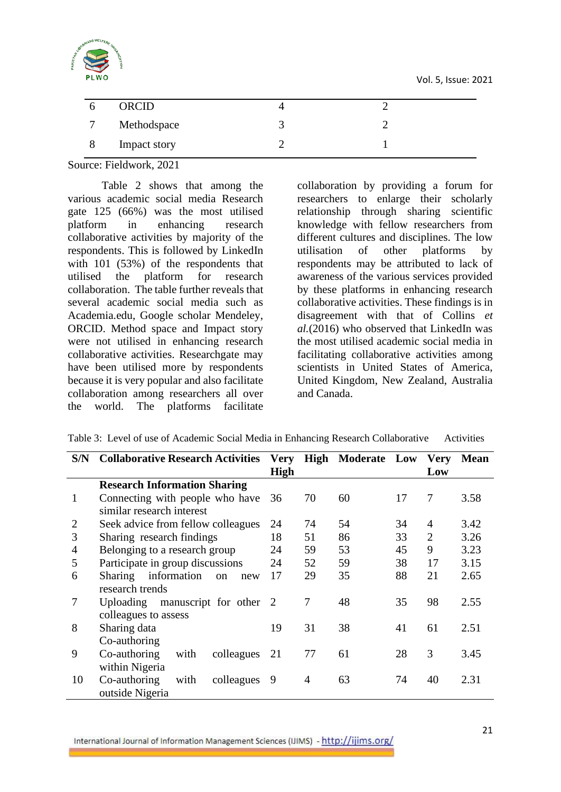Vol. 5, Issue: 2021



| ORCID        |  |  |
|--------------|--|--|
| Methodspace  |  |  |
| Impact story |  |  |

Source: Fieldwork, 2021

Table 2 shows that among the various academic social media Research gate 125 (66%) was the most utilised platform in enhancing research collaborative activities by majority of the respondents. This is followed by LinkedIn with 101 (53%) of the respondents that utilised the platform for research collaboration. The table further reveals that several academic social media such as Academia.edu, Google scholar Mendeley, ORCID. Method space and Impact story were not utilised in enhancing research collaborative activities. Researchgate may have been utilised more by respondents because it is very popular and also facilitate collaboration among researchers all over the world. The platforms facilitate

collaboration by providing a forum for researchers to enlarge their scholarly relationship through sharing scientific knowledge with fellow researchers from different cultures and disciplines. The low utilisation of other platforms by respondents may be attributed to lack of awareness of the various services provided by these platforms in enhancing research collaborative activities. These findings is in disagreement with that of Collins *et al.*(2016) who observed that LinkedIn was the most utilised academic social media in facilitating collaborative activities among scientists in United States of America, United Kingdom, New Zealand, Australia and Canada.

| S/N            | <b>Collaborative Research Activities</b>   | <b>Very</b> | High | <b>Moderate</b> Low |    | <b>Very</b>    | <b>Mean</b> |
|----------------|--------------------------------------------|-------------|------|---------------------|----|----------------|-------------|
|                |                                            | <b>High</b> |      |                     |    | Low            |             |
|                | <b>Research Information Sharing</b>        |             |      |                     |    |                |             |
| 1              | Connecting with people who have            | 36          | 70   | 60                  | 17 | 7              | 3.58        |
|                | similar research interest                  |             |      |                     |    |                |             |
| $\overline{2}$ | Seek advice from fellow colleagues         | 24          | 74   | 54                  | 34 | 4              | 3.42        |
| 3              | Sharing research findings                  | 18          | 51   | 86                  | 33 | $\overline{2}$ | 3.26        |
| 4              | Belonging to a research group              | 24          | 59   | 53                  | 45 | 9              | 3.23        |
| 5              | Participate in group discussions           | 24          | 52   | 59                  | 38 | 17             | 3.15        |
| 6              | information<br><b>Sharing</b><br>on<br>new | 17          | 29   | 35                  | 88 | 21             | 2.65        |
|                | research trends                            |             |      |                     |    |                |             |
| 7              | Uploading manuscript for other 2           |             | 7    | 48                  | 35 | 98             | 2.55        |
|                | colleagues to assess                       |             |      |                     |    |                |             |
| 8              | Sharing data                               | 19          | 31   | 38                  | 41 | 61             | 2.51        |
|                | Co-authoring                               |             |      |                     |    |                |             |
| 9              | Co-authoring<br>colleagues<br>with         | 21          | 77   | 61                  | 28 | 3              | 3.45        |
|                | within Nigeria                             |             |      |                     |    |                |             |
| 10             | Co-authoring<br>with<br>colleagues         | 9           | 4    | 63                  | 74 | 40             | 2.31        |
|                | outside Nigeria                            |             |      |                     |    |                |             |

Table 3: Level of use of Academic Social Media in Enhancing Research Collaborative Activities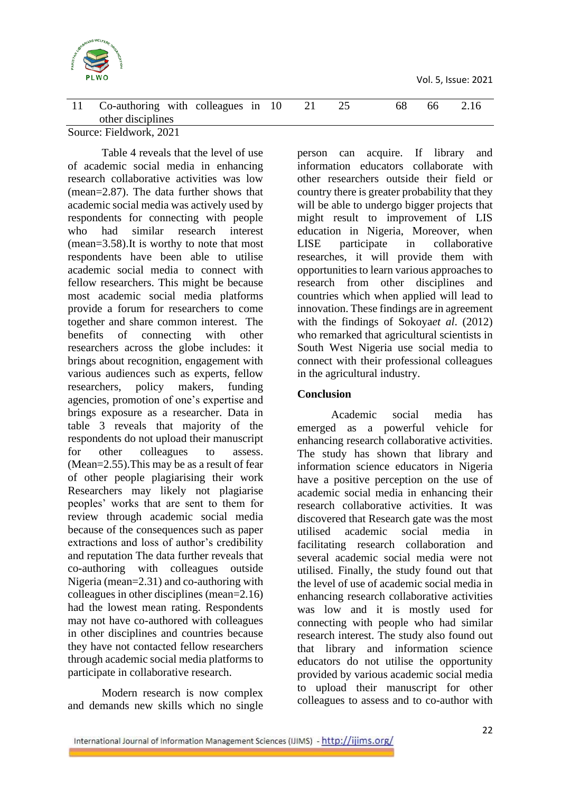

Vol. 5, Issue: 2021

| Co-authoring with colleagues in 10 |  |  |  | 66 |  |
|------------------------------------|--|--|--|----|--|
| other disciplines                  |  |  |  |    |  |

Source: Fieldwork, 2021

Table 4 reveals that the level of use of academic social media in enhancing research collaborative activities was low (mean=2.87). The data further shows that academic social media was actively used by respondents for connecting with people who had similar research interest (mean=3.58).It is worthy to note that most respondents have been able to utilise academic social media to connect with fellow researchers. This might be because most academic social media platforms provide a forum for researchers to come together and share common interest. The benefits of connecting with other researchers across the globe includes: it brings about recognition, engagement with various audiences such as experts, fellow researchers, policy makers, funding agencies, promotion of one's expertise and brings exposure as a researcher. Data in table 3 reveals that majority of the respondents do not upload their manuscript for other colleagues to assess. (Mean=2.55).This may be as a result of fear of other people plagiarising their work Researchers may likely not plagiarise peoples' works that are sent to them for review through academic social media because of the consequences such as paper extractions and loss of author's credibility and reputation The data further reveals that co-authoring with colleagues outside Nigeria (mean=2.31) and co-authoring with colleagues in other disciplines (mean=2.16) had the lowest mean rating. Respondents may not have co-authored with colleagues in other disciplines and countries because they have not contacted fellow researchers through academic social media platforms to participate in collaborative research.

Modern research is now complex and demands new skills which no single person can acquire. If library and information educators collaborate with other researchers outside their field or country there is greater probability that they will be able to undergo bigger projects that might result to improvement of LIS education in Nigeria, Moreover, when LISE participate in collaborative researches, it will provide them with opportunities to learn various approaches to research from other disciplines and countries which when applied will lead to innovation. These findings are in agreement with the findings of Sokoya*et al*. (2012) who remarked that agricultural scientists in South West Nigeria use social media to connect with their professional colleagues in the agricultural industry.

# **Conclusion**

Academic social media has emerged as a powerful vehicle for enhancing research collaborative activities. The study has shown that library and information science educators in Nigeria have a positive perception on the use of academic social media in enhancing their research collaborative activities. It was discovered that Research gate was the most utilised academic social media in facilitating research collaboration and several academic social media were not utilised. Finally, the study found out that the level of use of academic social media in enhancing research collaborative activities was low and it is mostly used for connecting with people who had similar research interest. The study also found out that library and information science educators do not utilise the opportunity provided by various academic social media to upload their manuscript for other colleagues to assess and to co-author with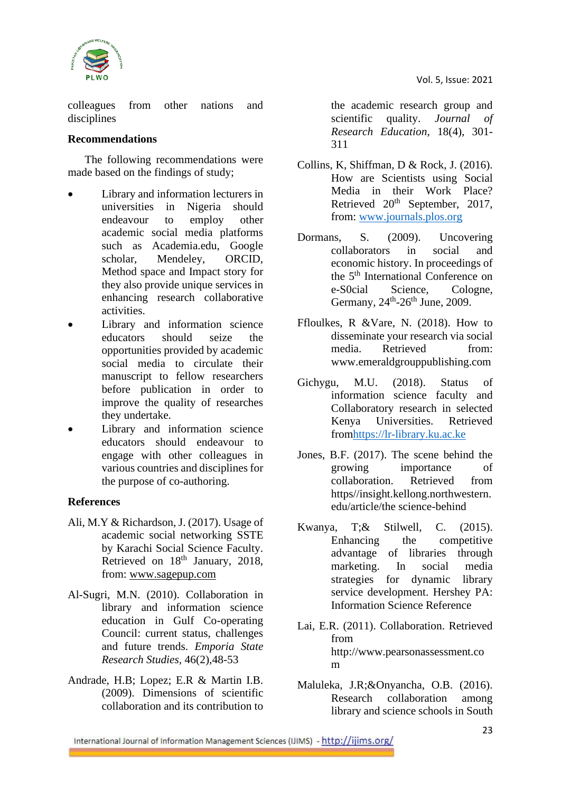

colleagues from other nations and disciplines

#### **Recommendations**

The following recommendations were made based on the findings of study;

- Library and information lecturers in universities in Nigeria should endeavour to employ other academic social media platforms such as Academia.edu, Google scholar, Mendeley, ORCID, Method space and Impact story for they also provide unique services in enhancing research collaborative activities.
- Library and information science educators should seize the opportunities provided by academic social media to circulate their manuscript to fellow researchers before publication in order to improve the quality of researches they undertake.
- Library and information science educators should endeavour to engage with other colleagues in various countries and disciplines for the purpose of co-authoring.

### **References**

- Ali, M.Y & Richardson, J. (2017). Usage of academic social networking SSTE by Karachi Social Science Faculty. Retrieved on 18<sup>th</sup> January, 2018, from: [www.sagepup.com](http://www.sagepup.com/)
- Al-Sugri, M.N. (2010). Collaboration in library and information science education in Gulf Co-operating Council: current status, challenges and future trends. *Emporia State Research Studies,* 46(2),48-53
- Andrade, H.B; Lopez; E.R & Martin I.B. (2009). Dimensions of scientific collaboration and its contribution to

the academic research group and scientific quality. *Journal of Research Education*, 18(4), 301- 311

- Collins, K, Shiffman, D & Rock, J. (2016). How are Scientists using Social Media in their Work Place? Retrieved  $20<sup>th</sup>$  September, 2017, from: [www.journals.plos.org](http://www.journals.plos.org/)
- Dormans, S. (2009). Uncovering collaborators in social and economic history. In proceedings of the 5th International Conference on e-S0cial Science, Cologne, Germany,  $24^{\text{th}}$ - $26^{\text{th}}$  June, 2009.
- Ffloulkes, R &Vare, N. (2018). How to disseminate your research via social media. Retrieved from: www.emeraldgrouppublishing.com
- Gichygu, M.U. (2018). Status of information science faculty and Collaboratory research in selected Kenya Universities. Retrieved fro[mhttps://lr-library.ku.ac.ke](https://lr-library.ku.ac.ke/)
- Jones, B.F. (2017). The scene behind the growing importance of collaboration. Retrieved from https//insight.kellong.northwestern. edu/article/the science-behind
- Kwanya, T;& Stilwell, C. (2015). Enhancing the competitive advantage of libraries through marketing. In social media strategies for dynamic library service development. Hershey PA: Information Science Reference
- Lai, E.R. (2011). Collaboration. Retrieved from http://www.pearsonassessment.co m
- Maluleka, J.R;&Onyancha, O.B. (2016). Research collaboration among library and science schools in South